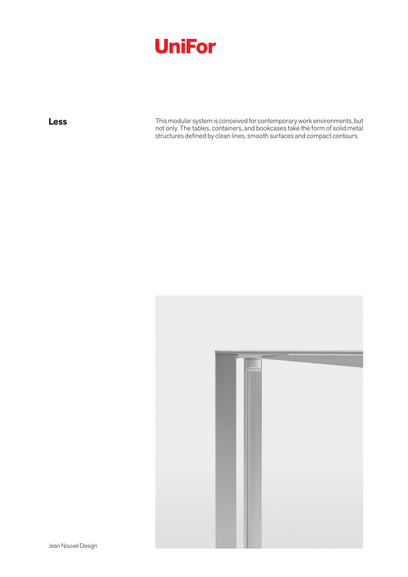

**Less** This modular system is conceived for contemporary work environments, but not only. The tables, containers, and bookcases take the form of solid metal structures defined by clean lines, smooth surfaces and compact contours.



Jean Nouvel Design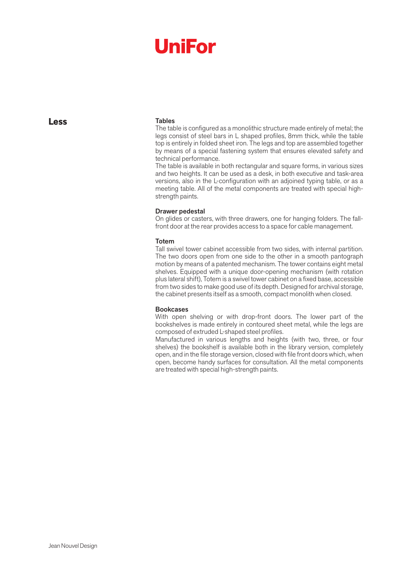# **UniFor**

**Less**

#### Tables

The table is configured as a monolithic structure made entirely of metal; the legs consist of steel bars in L shaped profiles, 8mm thick, while the table top is entirely in folded sheet iron. The legs and top are assembled together by means of a special fastening system that ensures elevated safety and technical performance.

The table is available in both rectangular and square forms, in various sizes and two heights. It can be used as a desk, in both executive and task-area versions, also in the L-configuration with an adjoined typing table, or as a meeting table. All of the metal components are treated with special highstrength paints.

#### Drawer pedestal

On glides or casters, with three drawers, one for hanging folders. The fallfront door at the rear provides access to a space for cable management.

#### Totem

Tall swivel tower cabinet accessible from two sides, with internal partition. The two doors open from one side to the other in a smooth pantograph motion by means of a patented mechanism. The tower contains eight metal shelves. Equipped with a unique door-opening mechanism (with rotation plus lateral shift), Totem is a swivel tower cabinet on a fixed base, accessible from two sides to make good use of its depth. Designed for archival storage, the cabinet presents itself as a smooth, compact monolith when closed.

#### Bookcases

With open shelving or with drop-front doors. The lower part of the bookshelves is made entirely in contoured sheet metal, while the legs are composed of extruded L-shaped steel profiles.

Manufactured in various lengths and heights (with two, three, or four shelves) the bookshelf is available both in the library version, completely open, and in the file storage version, closed with file front doors which, when open, become handy surfaces for consultation. All the metal components are treated with special high-strength paints.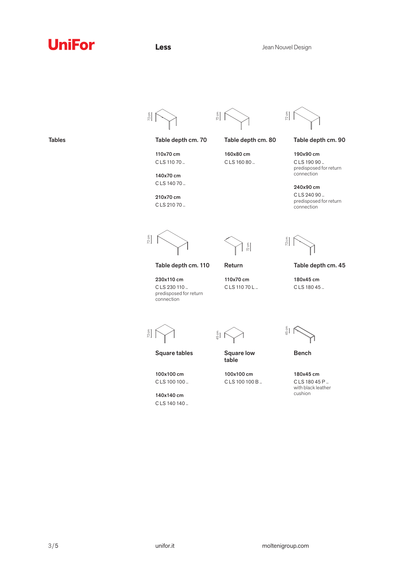### **UniFor**

 $\frac{2 \text{ cm}}{2}$ 

Tables

72 cm

 $\frac{2 \text{ cm}}{2}$ 

Table depth cm. 70 Table depth cm. 80 Table depth cm. 90

140x70 cm C LS 140 70 ..

110x70 cm C LS 110 70 ..

160x80 cm

C LS 160 80 ..

connection 240x90 cm C LS 240 90 ..

190x90 cm C LS 190 90 .. predisposed for return

predisposed for return connection

Table depth cm. 45

72 cm

230x110 cm

connection

100x100 cm C LS 100 100 .. 140x140 cm C LS 140 140 ..

Table depth cm. 110

Return

C LS 230 110 .. predisposed for return

110x70 cm C LS 110 70 L ..

72 cm

 $\frac{5}{2}$   $\left[\begin{array}{c} 2 \end{array}\right]$ 

Square tables

 $\frac{5}{2}$  i

Square low table

100x100 cm C LS 100 100 B ..

 $\int_{\frac{1}{2}}^{\frac{5}{2}}$ 

180x45 cm C LS 180 45 ..

 $\frac{72 \text{ cm}}{2}$ 

Bench

180x45 cm C LS 180 45 P .. with black leather cushion

210x70 cm C LS 210 70 ..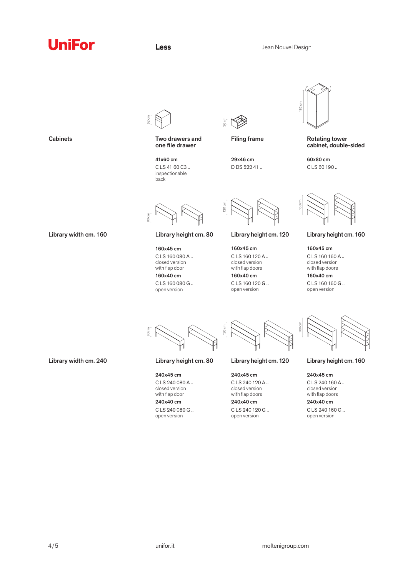## **UniFor**



80 cm

80 cm

Two drawers and one file drawer

41x60 cm C LS 41 60 C3 .. inspectionable back

160x45 cm C LS 160 080 A .. closed version with flap door 160x40 cm C LS 160 080 G .. open version

Library height cm. 80

240x45 cm C LS 240 080 A .. closed version with flap door 240x40 cm C LS 240 080 G .. open version

 $\frac{26}{9}$  cm  $\frac{2}{9}$ 

29x46 cm D DS 522 41 ..

160x45 cm C LS 160 120 A .. closed version with flap doors 160x40 cm C LS 160 120 G .. open version

Library height cm. 120

120 cm

120 cm



Filing frame Rotating tower cabinet, double-sided

> 60x80 cm C LS 60 190 ..



Library height cm. 160

160x45 cm C LS 160 160 A .. closed version with flap doors 160x40 cm

C LS 160 160 G .. open version

160 cm

Library height cm. 80

Library height cm. 120

240x45 cm C LS 240 120 A .. closed version with flap doors 240x40 cm

C LS 240 120 G .. open version

Library height cm. 160

240x45 cm C LS 240 160 A .. closed version with flap doors 240x40 cm

C LS 240 160 G .. open version

**Cabinets** 

Library width cm. 160

Library width cm. 240